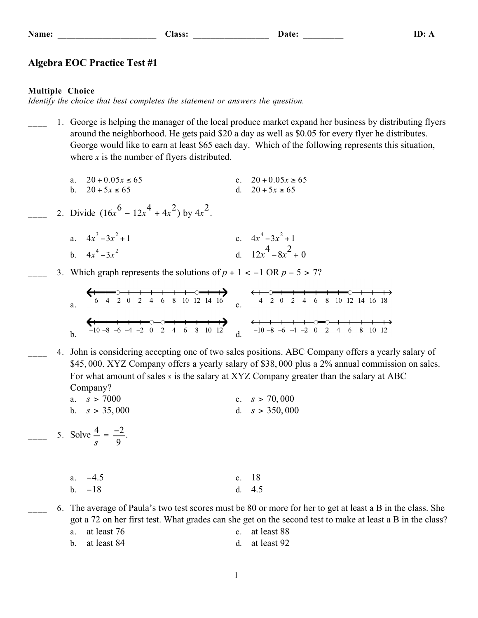|  | ۱m<br>и |  |
|--|---------|--|
|--|---------|--|

### **Algebra EOC Practice Test #1**

#### **Multiple Choice**

*Identify the choice that best completes the statement or answers the question.*

\_\_\_\_ 1. George is helping the manager of the local produce market expand her business by distributing flyers around the neighborhood. He gets paid \$20 a day as well as \$0.05 for every flyer he distributes. George would like to earn at least \$65 each day. Which of the following represents this situation, where  $x$  is the number of flyers distributed.

a. 
$$
20 + 0.05x \le 65
$$
  
\nb.  $20 + 5x \le 65$   
\nc.  $20 + 0.05x \ge 65$   
\nd.  $20 + 5x \ge 65$ 

- 2. Divide  $(16x^6 12x^4 + 4x^2)$  by  $4x^2$ .
	- a.  $4x^3 3x^2$ + 1 c.  $4x^4 - 3x^2 + 1$ b.  $4x^4 - 3x$ d.  $12x^4 - 8x^2 + 0$
	- \_\_\_\_ 3. Which graph represents the solutions of *p* + 1 < −1 OR *p* − 5 > 7?

a. c. b. d.

\_\_\_\_ 4. John is considering accepting one of two sales positions. ABC Company offers a yearly salary of \$45, 000. XYZ Company offers a yearly salary of \$38, 000 plus a 2% annual commission on sales. For what amount of sales *s* is the salary at XYZ Company greater than the salary at ABC Company?

| a. $s > 7000$   | c. $s > 70,000$  |
|-----------------|------------------|
| b. $s > 35,000$ | d. $s > 350,000$ |

 $\frac{4}{s} = \frac{-2}{9}$ .<br>5. Solve  $\frac{4}{s} = \frac{-2}{9}$ .

| a. $-4.5$ | c. $18$  |
|-----------|----------|
| $b. -18$  | d. $4.5$ |

\_\_\_\_ 6. The average of Paula's two test scores must be 80 or more for her to get at least a B in the class. She got a 72 on her first test. What grades can she get on the second test to make at least a B in the class? a. at least 76 c. at least 88 b. at least 84 d. at least 92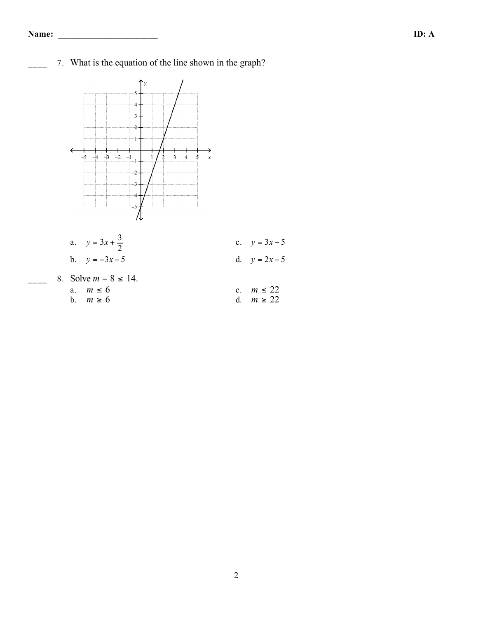7. What is the equation of the line shown in the graph?



- a.  $y = 3x + \frac{3}{2}$ 2 c.  $y = 3x - 5$ b.  $y = -3x - 5$  d.  $y = 2x - 5$
- 8. Solve  $m 8 \le 14$ .<br>a.  $m \le 6$ a.  $m \le 6$  c.  $m \le 22$
- - b.  $m \ge 6$  d.  $m \ge 22$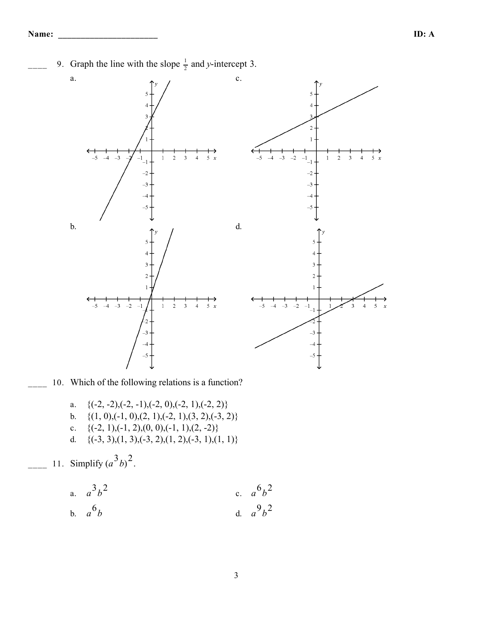$\frac{1}{2}$  9. Graph the line with the slope  $\frac{1}{2}$  and *y*-intercept 3.



- 10. Which of the following relations is a function?
	- a.  $\{(-2, -2), (-2, -1), (-2, 0), (-2, 1), (-2, 2)\}$
	- b.  $\{(1, 0), (-1, 0), (2, 1), (-2, 1), (3, 2), (-3, 2)\}$
	- c.  $\{(-2, 1), (-1, 2), (0, 0), (-1, 1), (2, -2)\}$
	- d.  $\{(-3, 3), (1, 3), (-3, 2), (1, 2), (-3, 1), (1, 1)\}$

11. Simplify  $(a^3b)^2$ .

a. 
$$
a^3b^2
$$
  
b.  $a^6b$   
c.  $a^6b^2$   
d.  $a^9b^2$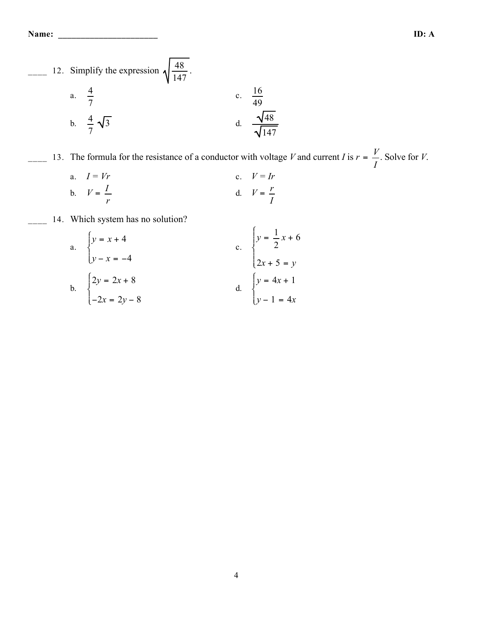**Name: \_\_\_\_\_\_\_\_\_\_\_\_\_\_\_\_\_\_\_\_\_\_ ID: A**



 $\frac{V}{I}$  13. The formula for the resistance of a conductor with voltage *V* and current *I* is  $r = \frac{V}{I}$ *I* . Solve for *V*.

a. 
$$
I = Vr
$$
  
\nb.  $V = \frac{I}{r}$   
\nc.  $V = Ir$   
\nd.  $V = \frac{r}{I}$ 

14. Which system has no solution?

a. 
$$
\begin{cases} y = x + 4 \\ y - x = -4 \end{cases}
$$
  
b. 
$$
\begin{cases} 2y = 2x + 8 \\ -2x = 2y - 8 \end{cases}
$$
  
c. 
$$
\begin{cases} y = \frac{1}{2}x + 6 \\ 2x + 5 = y \end{cases}
$$
  
d. 
$$
\begin{cases} y = 4x + 1 \\ y - 1 = 4x \end{cases}
$$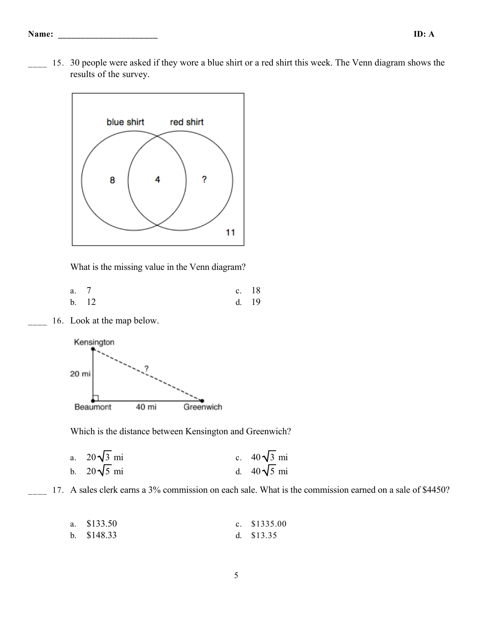15. 30 people were asked if they wore a blue shirt or a red shirt this week. The Venn diagram shows the results of the survey.



What is the missing value in the Venn diagram?

| a. 7  |       | c. $18$ |
|-------|-------|---------|
| b. 12 | d. 19 |         |

16. Look at the map below.



Which is the distance between Kensington and Greenwich?

a. 
$$
20\sqrt{3}
$$
 mi  
b.  $20\sqrt{5}$  mi  
d.  $40\sqrt{5}$  mi

17. A sales clerk earns a 3% commission on each sale. What is the commission earned on a sale of \$4450?

| a. \$133.50 | c. $$1335.00$ |
|-------------|---------------|
| b. \$148.33 | d. $$13.35$   |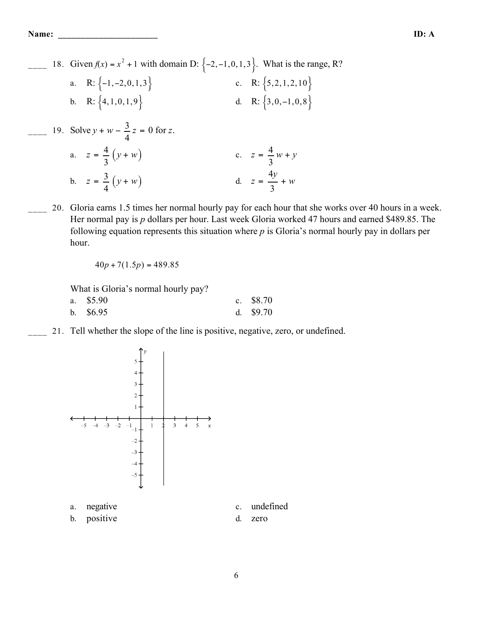$\frac{18}{2}$  18. Given  $f(x) = x^2 + 1$  with domain D:  $\{-2, -1, 0, 1, 3\}$ Ì Ó ÔÔ ÔÔ  $\overline{ }$ ˝ ˛ ÔÔ  $\}$ . What is the range, R? a. R:  $\{-1, -2, 0, 1, 3\}$ Ì Ó ÔÔ ÔÔ  $\overline{ }$ ˝ ˛ ÔÔ  $c. \quad R: \{5, 2, 1, 2, 10\}$ Ì Ó ÔÔ ÔÔ  $\overline{ }$ ˝ ˛ ÔÔ ÔÔ b. R:  $\{4, 1, 0, 1, 9$ Ì Ó ÔÔ ÔÔ  $\overline{ }$ ˝ ˛ ÔÔ  $\Big\}$  d. R:  $\Big\{3, 0, -1, 0, 8$ Ì Ó ÔÔ ÔÔ  $\overline{ }$ ˝ ˛ ÔÔ ÔÔ  $\frac{3}{2}$  19. Solve *y* + *w* –  $\frac{3}{4}$ 4 *z* = 0 for *z*. a.  $z = \frac{4}{3}$  $\frac{4}{3}(y+w)$  $\binom{z}{x} = \frac{4}{3}$ 3 *w* + *y* b.  $z = \frac{3}{4}$  $\frac{3}{4}(y+w)$  $d. z = \frac{4y}{3}$ 3 + *w*

20. Gloria earns 1.5 times her normal hourly pay for each hour that she works over 40 hours in a week. Her normal pay is *p* dollars per hour. Last week Gloria worked 47 hours and earned \$489.85. The following equation represents this situation where *p* is Gloria's normal hourly pay in dollars per hour.

$$
40p + 7(1.5p) = 489.85
$$

What is Gloria's normal hourly pay?

| a. \$5.90  | c. $$8.70$ |
|------------|------------|
| b. $$6.95$ | d. $$9.70$ |

\_\_\_\_ 21. Tell whether the slope of the line is positive, negative, zero, or undefined.



- 
- b. positive d. zero
- a. negative c. undefined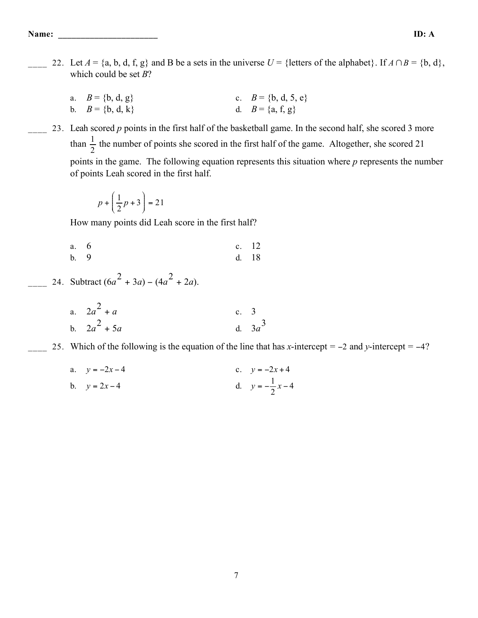- 22. Let  $A = \{a, b, d, f, g\}$  and B be a sets in the universe  $U = \{\text{letters of the alphabet}\}\$ . If  $A \cap B = \{b, d\},\$ which could be set  $B$ ?
	- a.  $B = \{b, d, g\}$ c.  $B = \{b, d, 5, e\}$ d.  $B = \{a, f, g\}$ b.  $B = \{b, d, k\}$
- 23. Leah scored p points in the first half of the basketball game. In the second half, she scored 3 more than  $\frac{1}{2}$  the number of points she scored in the first half of the game. Altogether, she scored 21 points in the game. The following equation represents this situation where  $p$  represents the number of points Leah scored in the first half.

$$
p + \left(\frac{1}{2}p + 3\right) = 21
$$

How many points did Leah score in the first half?

6 c. 12 a.  $h^9$ d. 18

24. Subtract  $(6a^2 + 3a) - (4a^2 + 2a)$ .

a.  $2a^2 + a$ c.  $3$ b.  $2a^2 + 5a$ d.  $3a^3$ 

25. Which of the following is the equation of the line that has x-intercept =  $-2$  and y-intercept =  $-4$ ?

a. 
$$
y = -2x - 4
$$
  
\nb.  $y = 2x - 4$   
\nc.  $y = -2x + 4$   
\nd.  $y = -\frac{1}{2}x - 4$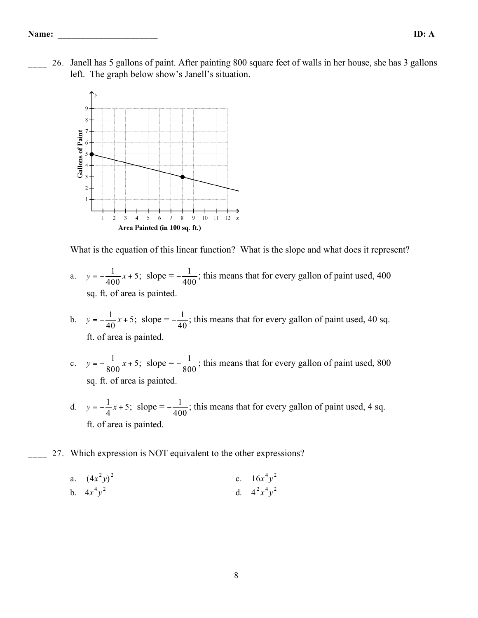\_\_\_\_ 26. Janell has 5 gallons of paint. After painting 800 square feet of walls in her house, she has 3 gallons left. The graph below show's Janell's situation.



What is the equation of this linear function? What is the slope and what does it represent?

- a.  $y = -\frac{1}{400}x + 5$ ; slope =  $-\frac{1}{400}$ ; this means that for every gallon of paint used, 400 sq. ft. of area is painted.
- b.  $y = -\frac{1}{40}x + 5$ ; slope =  $-\frac{1}{40}$ ; this means that for every gallon of paint used, 40 sq. ft. of area is painted.
- c.  $y = -\frac{1}{800}x + 5$ ; slope =  $-\frac{1}{800}$ ; this means that for every gallon of paint used, 800 sq. ft. of area is painted.
- d.  $y = -\frac{1}{4}x + 5$ ; slope =  $-\frac{1}{400}$ ; this means that for every gallon of paint used, 4 sq. ft. of area is painted.

## 27. Which expression is NOT equivalent to the other expressions?

a. 
$$
(4x^2y)^2
$$
  
b.  $4x^4y^2$   
c.  $16x^4y^2$   
d.  $4^2x^4y^2$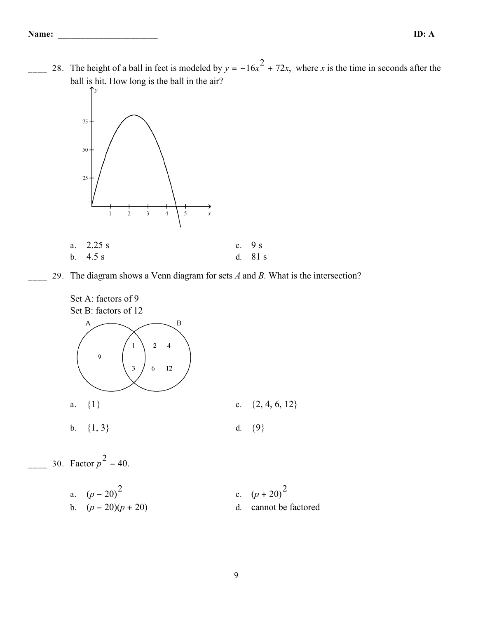<u>28</u>. The height of a ball in feet is modeled by  $y = -16x^2 + 72x$ , where *x* is the time in seconds after the ball is hit. How long is the ball in the air?



- a. 2.25 s c. 9 s b. 4.5 s d. 81 s
- 29. The diagram shows a Venn diagram for sets *A* and *B*. What is the intersection?





 $\frac{1}{2}$  30. Factor  $p^2 - 40$ .

a.  $(p-20)^2$ c.  $(p+20)^2$ b.  $(p - 20)(p + 20)$  d. cannot be factored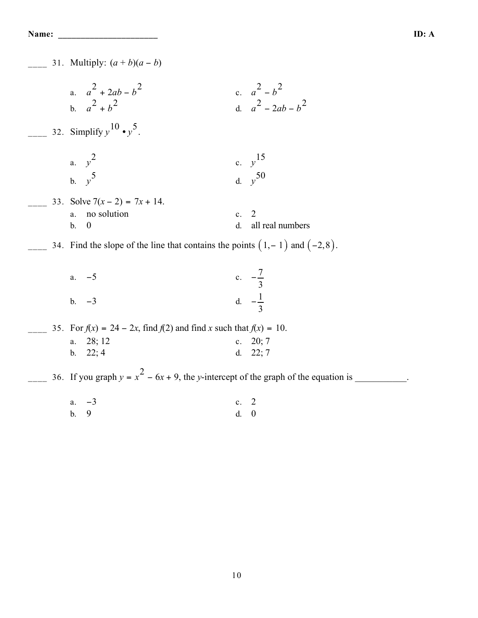| 31. Multiply: $(a + b)(a - b)$                                                        |                                                |
|---------------------------------------------------------------------------------------|------------------------------------------------|
| a. $a^2 + 2ab - b^2$<br>b. $a^2 + b^2$<br>32. Simplify $y^{10} \cdot y^5$ .           | c. $a^2 - b^2$<br>d. $a^2 - 2ab - b^2$         |
| a. $y^2$<br>b. $y^5$                                                                  | c. $y^{15}$<br>d. $v^{50}$                     |
| 33. Solve $7(x-2) = 7x + 14$ .<br>a. no solution<br>$\boldsymbol{0}$<br>$\mathbf b$ . | $\overline{2}$<br>c.<br>all real numbers<br>d. |
| 34. Find the slope of the line that contains the points $(1,-1)$ and $(-2,8)$ .       |                                                |
| a. $-5$                                                                               | c. $-\frac{7}{3}$                              |
| $-3$<br>b.                                                                            | d. $-\frac{1}{2}$                              |
| 35. For $f(x) = 24 - 2x$ , find $f(2)$ and find x such that $f(x) = 10$ .             |                                                |
| a. 28; 12<br>b. 22; 4                                                                 | c. $20; 7$<br>d. $22; 7$                       |
| 36. If you graph $y = x^2 - 6x + 9$ , the y-intercept of the graph of the equation is |                                                |
| $a. -3$<br>9<br>$\mathbf b$ .                                                         | $\overline{2}$<br>c.<br>$\boldsymbol{0}$<br>d. |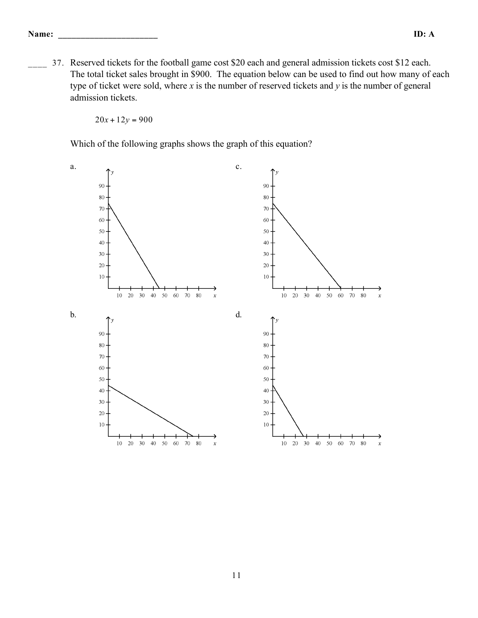37. Reserved tickets for the football game cost \$20 each and general admission tickets cost \$12 each. The total ticket sales brought in \$900. The equation below can be used to find out how many of each type of ticket were sold, where *x* is the number of reserved tickets and *y* is the number of general admission tickets.

 $20x + 12y = 900$ 

Which of the following graphs shows the graph of this equation?

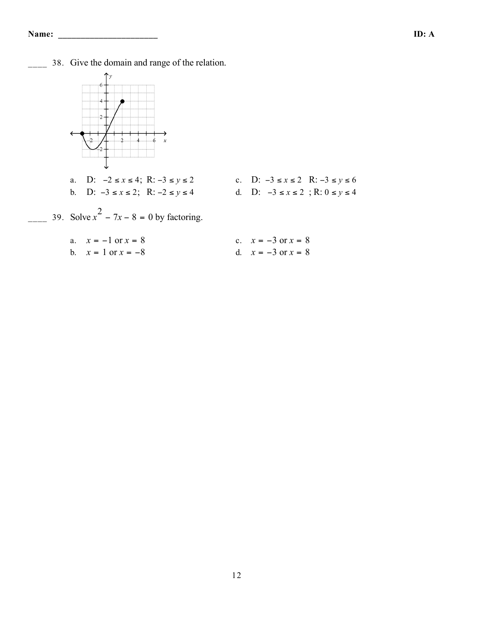\_\_\_\_ 38. Give the domain and range of the relation.



- b. D: −3 ≤ *x* ≤ 2; R: −2 ≤ *y* ≤ 4 d. D: −3 ≤ *x* ≤ 2 ; R: 0 ≤ *y* ≤ 4
- a. D: −2 ≤ *x* ≤ 4; R: −3 ≤ *y* ≤ 2 c. D: −3 ≤ *x* ≤ 2 R: −3 ≤ *y* ≤ 6
	-

 $\frac{1}{2}$  39. Solve  $x^2 - 7x - 8 = 0$  by factoring.

| a. $x = -1$ or $x = 8$ | c. $x = -3$ or $x = 8$ |
|------------------------|------------------------|
| b. $x = 1$ or $x = -8$ | d. $x = -3$ or $x = 8$ |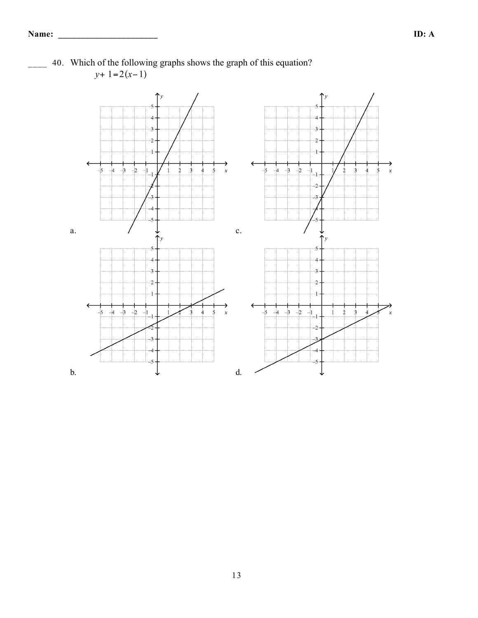

40. Which of the following graphs shows the graph of this equation? *y*+ 1=2(*x*−1)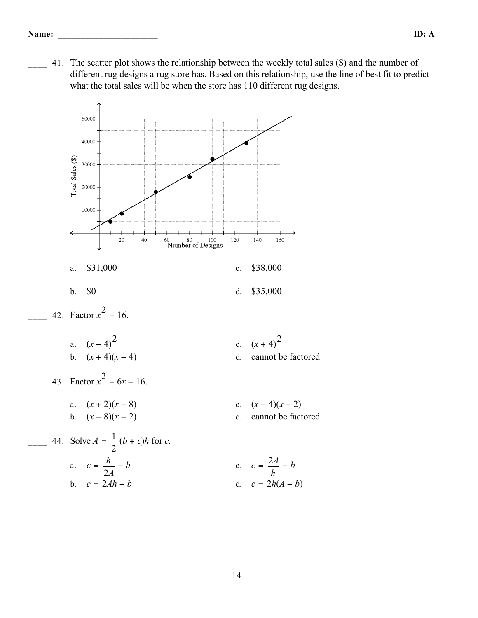\_\_\_\_ 41. The scatter plot shows the relationship between the weekly total sales (\$) and the number of different rug designs a rug store has. Based on this relationship, use the line of best fit to predict what the total sales will be when the store has 110 different rug designs.

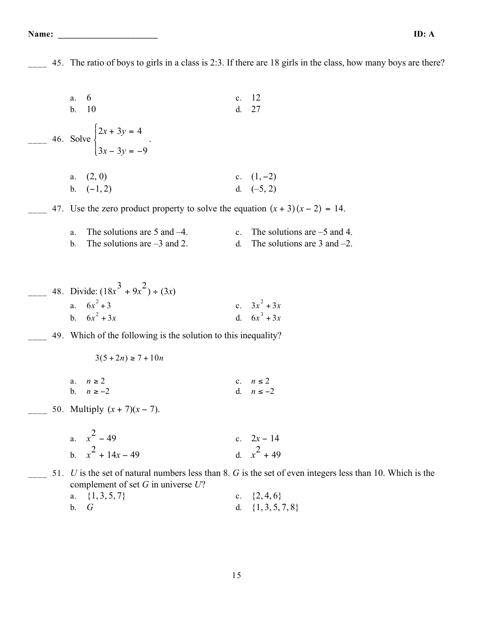Name:

45. The ratio of boys to girls in a class is 2:3. If there are 18 girls in the class, how many boys are there?

|  | 6<br>$a$ .<br>10<br>b.                                                                                          | $\mathbf{c}$ .<br>d. | 12<br>27                                                                                                                                                    |
|--|-----------------------------------------------------------------------------------------------------------------|----------------------|-------------------------------------------------------------------------------------------------------------------------------------------------------------|
|  | 46. Solve $\begin{cases} 2x + 3y = 4 \\ 3x - 3y = -9 \end{cases}$ .                                             |                      |                                                                                                                                                             |
|  | (2, 0)<br>a.<br>b. $(-1, 2)$<br>47. Use the zero product property to solve the equation $(x + 3)(x - 2) = 14$ . |                      | c. $(1, -2)$<br>d. $(-5, 2)$                                                                                                                                |
|  | The solutions are $5$ and $-4$ .<br>a.<br>The solutions are $-3$ and 2.<br>b.                                   | $c_{\cdot}$<br>d.    | The solutions are $-5$ and 4.<br>The solutions are $3$ and $-2$ .                                                                                           |
|  | 48. Divide: $(18x^3 + 9x^2) \div (3x)$<br>a. $6x^2 + 3$<br>b. $6x^2 + 3x$                                       |                      | c. $3x^2 + 3x$<br>d. $6x^3 + 3x$                                                                                                                            |
|  | 49. Which of the following is the solution to this inequality?<br>$3(5+2n) \ge 7 + 10n$                         |                      |                                                                                                                                                             |
|  | $n\geq 2$<br>a.<br>b.<br>$n \ge -2$<br>50. Multiply $(x + 7)(x - 7)$ .                                          |                      | c. $n \leq 2$<br>d. $n \le -2$                                                                                                                              |
|  | a. $x^2 - 49$<br>b. $x^2 + 14x - 49$                                                                            |                      | c. $2x - 14$<br>d. $x^2 + 49$                                                                                                                               |
|  | complement of set $G$ in universe $U$ ?<br>a. $\{1, 3, 5, 7\}$<br>b.<br>G                                       |                      | 51. $U$ is the set of natural numbers less than 8. $G$ is the set of even integers less than 10. Which is the<br>c. $\{2, 4, 6\}$<br>d. $\{1, 3, 5, 7, 8\}$ |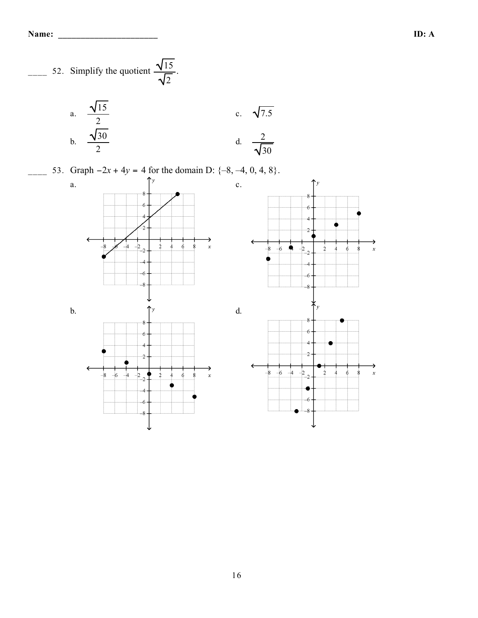

a. 
$$
\frac{\sqrt{15}}{2}
$$
  
b.  $\frac{\sqrt{30}}{2}$   
c.  $\sqrt{7.5}$   
d.  $\frac{2}{\sqrt{30}}$ 

\_\_\_\_ 53. Graph −2*x* + 4*y* = 4 for the domain D: {–8, –4, 0, 4, 8}.

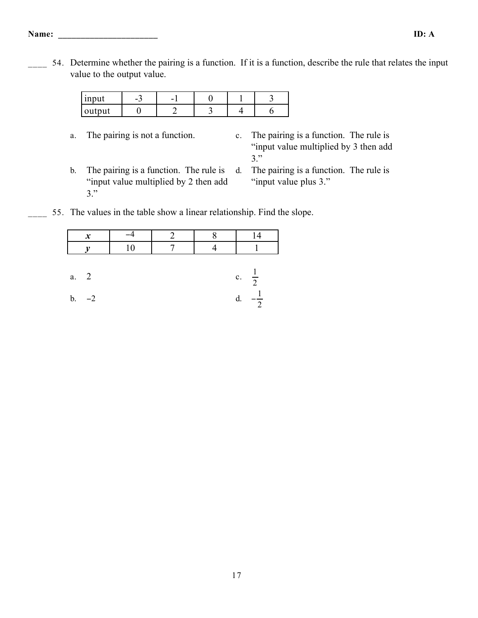#### **Name: \_\_\_\_\_\_\_\_\_\_\_\_\_\_\_\_\_\_\_\_\_\_ ID: A**

54. Determine whether the pairing is a function. If it is a function, describe the rule that relates the input value to the output value.

| nnn<br>111 p  | ∼<br>$\overline{\phantom{0}}$ | - |  |  |
|---------------|-------------------------------|---|--|--|
| mnt<br>output |                               |   |  |  |

- 
- a. The pairing is not a function. c. The pairing is a function. The rule is "input value multiplied by 3 then add 3."
- b. The pairing is a function. The rule is "input value multiplied by 2 then add 3."
- d. The pairing is a function. The rule is "input value plus 3."
- 55. The values in the table show a linear relationship. Find the slope.

|                | $\boldsymbol{x}$ |    |  |                  |
|----------------|------------------|----|--|------------------|
|                |                  | 10 |  |                  |
|                |                  |    |  |                  |
| a. 2           |                  |    |  | c. $\frac{1}{2}$ |
| $\mathbf{b}$ . | $-2$             |    |  | $\overline{2}$   |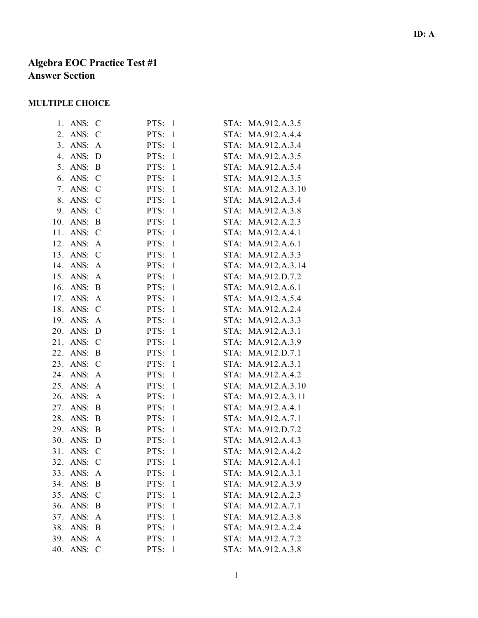# **Algebra EOC Practice Test #1 Answer Section**

## **MULTIPLE CHOICE**

| 1.  | ANS:     | C             | PTS: | $\mathbf{1}$ | STA: | MA.912.A.3.5      |
|-----|----------|---------------|------|--------------|------|-------------------|
| 2.  | ANS:     | $\mathcal{C}$ | PTS: | $\mathbf{1}$ | STA: | MA.912.A.4.4      |
|     | 3. ANS:  | A             | PTS: | $\mathbf{1}$ |      | STA: MA.912.A.3.4 |
| 4.  | ANS:     | D             | PTS: | $\mathbf{1}$ |      | STA: MA.912.A.3.5 |
| 5.  | ANS:     | B             | PTS: | $\mathbf{1}$ | STA: | MA.912.A.5.4      |
| 6.  | ANS:     | $\mathcal{C}$ | PTS: | $\mathbf{1}$ | STA: | MA.912.A.3.5      |
| 7.  | ANS:     | $\mathcal{C}$ | PTS: | $\mathbf{1}$ | STA: | MA.912.A.3.10     |
| 8.  | ANS:     | $\mathcal{C}$ | PTS: | $\mathbf{1}$ | STA: | MA.912.A.3.4      |
|     | 9. ANS:  | $\mathcal{C}$ | PTS: | $\mathbf{1}$ |      | STA: MA.912.A.3.8 |
| 10. | ANS:     | B             | PTS: | $\mathbf{1}$ |      | STA: MA.912.A.2.3 |
| 11. | ANS:     | $\mathcal{C}$ | PTS: | $\mathbf{1}$ | STA: | MA.912.A.4.1      |
| 12. | ANS:     | A             | PTS: | $\mathbf{1}$ | STA: | MA.912.A.6.1      |
| 13. | ANS:     | $\mathcal{C}$ | PTS: | $\mathbf{1}$ | STA: | MA.912.A.3.3      |
|     | 14. ANS: | A             | PTS: | $\mathbf{1}$ | STA: | MA.912.A.3.14     |
|     | 15. ANS: | A             | PTS: | $\mathbf{1}$ |      | STA: MA.912.D.7.2 |
| 16. | ANS:     | B             | PTS: | $\mathbf{1}$ |      | STA: MA.912.A.6.1 |
| 17. | ANS:     | A             | PTS: | $\mathbf{1}$ | STA: | MA.912.A.5.4      |
| 18. | ANS:     | $\mathcal{C}$ | PTS: | $\mathbf{1}$ | STA: | MA.912.A.2.4      |
| 19. | ANS:     | $\mathbf{A}$  | PTS: | $\mathbf{1}$ | STA: | MA.912.A.3.3      |
|     | 20. ANS: | D             | PTS: | $\mathbf{1}$ | STA: | MA.912.A.3.1      |
|     | 21. ANS: | $\mathcal{C}$ | PTS: | $\mathbf{1}$ |      | STA: MA.912.A.3.9 |
| 22. | ANS:     | B             | PTS: | $\mathbf{1}$ |      | STA: MA.912.D.7.1 |
| 23. | ANS:     | $\mathcal{C}$ | PTS: | $\mathbf{1}$ | STA: | MA.912.A.3.1      |
| 24. | ANS:     | A             | PTS: | $\mathbf{1}$ | STA: | MA.912.A.4.2      |
| 25. | ANS:     | A             | PTS: | $\mathbf{1}$ | STA: | MA.912.A.3.10     |
| 26. | ANS:     | A             | PTS: | $\mathbf{1}$ | STA: | MA.912.A.3.11     |
| 27. | ANS:     | B             | PTS: | $\mathbf{1}$ | STA: | MA.912.A.4.1      |
| 28. | ANS:     | B             | PTS: | $\mathbf{1}$ | STA: | MA.912.A.7.1      |
| 29. | ANS:     | B             | PTS: | $\mathbf{1}$ | STA: | MA.912.D.7.2      |
| 30. | ANS:     | D             | PTS: | $\mathbf{1}$ | STA: | MA.912.A.4.3      |
| 31. | ANS:     | $\mathcal{C}$ | PTS: | $\mathbf{1}$ | STA: | MA.912.A.4.2      |
| 32. | ANS:     | $\mathcal{C}$ | PTS: | $\mathbf{1}$ |      | STA: MA.912.A.4.1 |
| 33. | ANS:     | A             | PTS: | $\mathbf{1}$ | STA: | MA.912.A.3.1      |
| 34. | ANS:     | B             | PTS: | $\mathbf{1}$ | STA: | MA.912.A.3.9      |
| 35. | ANS:     | $\mathcal{C}$ | PTS: | 1            | STA: | MA.912.A.2.3      |
| 36. | ANS:     | B             | PTS: | 1            |      | STA: MA.912.A.7.1 |
| 37. | ANS:     | A             | PTS: | $\mathbf{1}$ |      | STA: MA.912.A.3.8 |
| 38. | ANS:     | B             | PTS: | 1            | STA: | MA.912.A.2.4      |
| 39. | ANS:     | A             | PTS: | 1            | STA: | MA.912.A.7.2      |
| 40. | ANS:     | $\mathcal{C}$ | PTS: | $\mathbf{1}$ |      | STA: MA.912.A.3.8 |